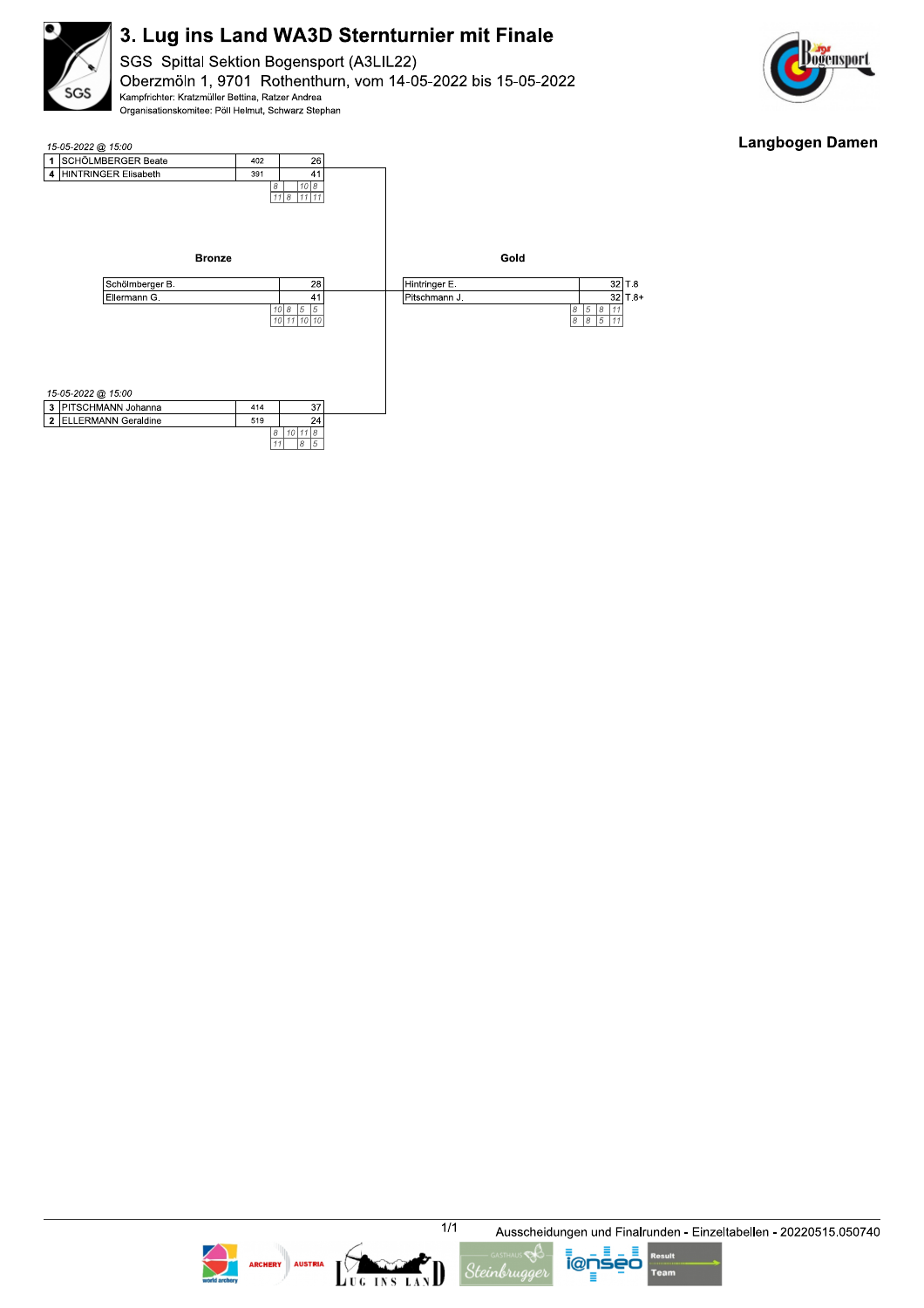

SGS Spittal Sektion Bogensport (A3LIL22) Oberzmöln 1, 9701 Rothenthurn, vom 14-05-2022 bis 15-05-2022 Kampfrichter: Kratzmüller Bettina, Ratzer Andrea Organisationskomitee: Pöll Helmut, Schwarz Stephan



#### **Langbogen Damen**











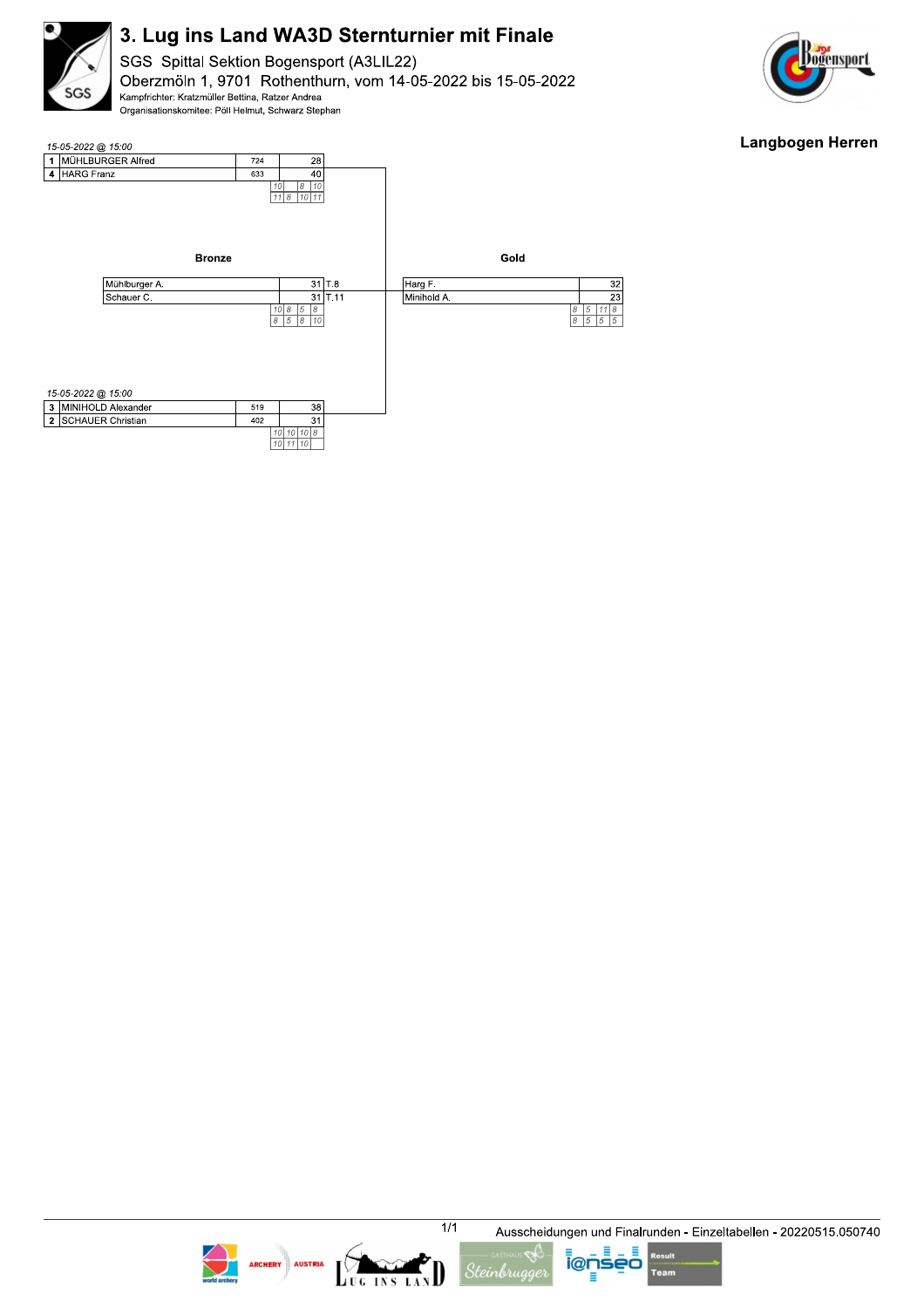

SGS Spittal Sektion Bogensport (A3LIL22) Oberzmöln 1, 9701 Rothenthurn, vom 14-05-2022 bis 15-05-2022 Kampfrichter: Kratzmüller Bettina, Ratzer Andrea Organisationskomitee: Pöll Helmut, Schwarz Stephan



### **Langbogen Herren**









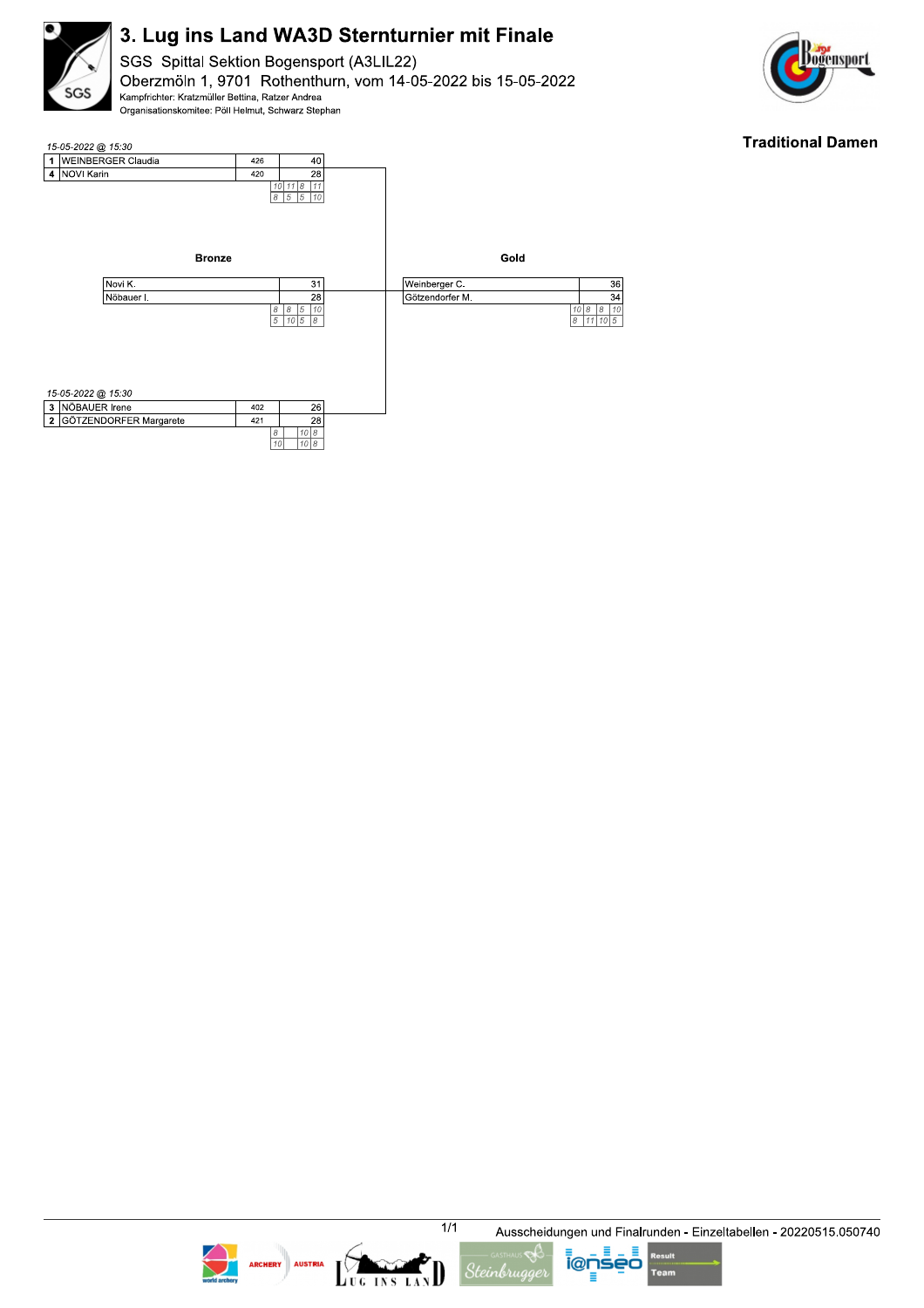

SGS Spittal Sektion Bogensport (A3LIL22) Oberzmöln 1, 9701 Rothenthurn, vom 14-05-2022 bis 15-05-2022 Kampfrichter: Kratzmüller Bettina, Ratzer Andrea Organisationskomitee: Pöll Helmut, Schwarz Stephan



### **Traditional Damen**







LUG INS LAN







Ausscheidungen und Finalrunden - Einzeltabellen - 20220515.050740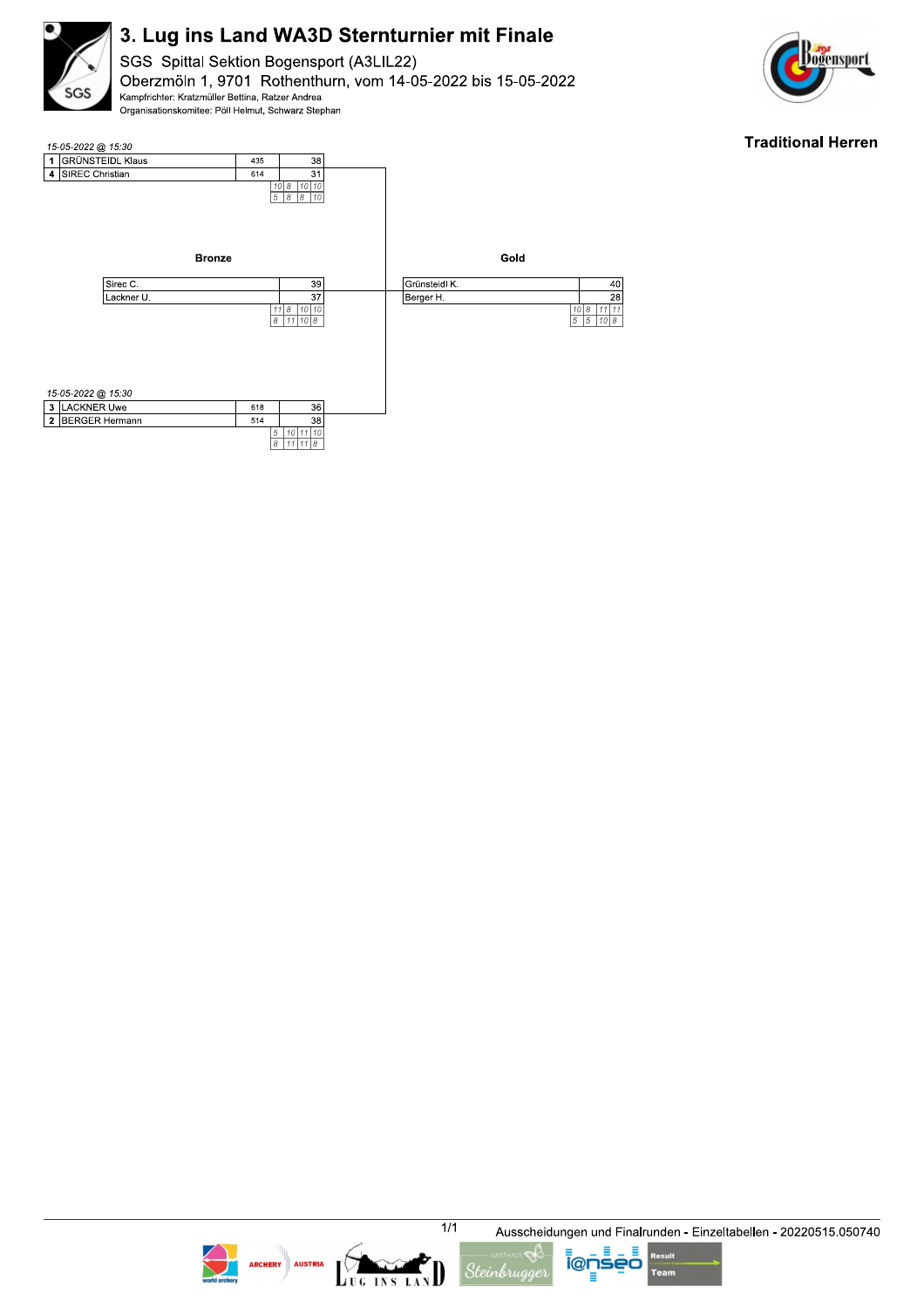

SGS Spittal Sektion Bogensport (A3LIL22) Oberzmöln 1, 9701 Rothenthurn, vom 14-05-2022 bis 15-05-2022 Kampfrichter: Kratzmüller Bettina, Ratzer Andrea Organisationskomitee: Pöll Helmut, Schwarz Stephan



### **Traditional Herren**





LUG INS LAN





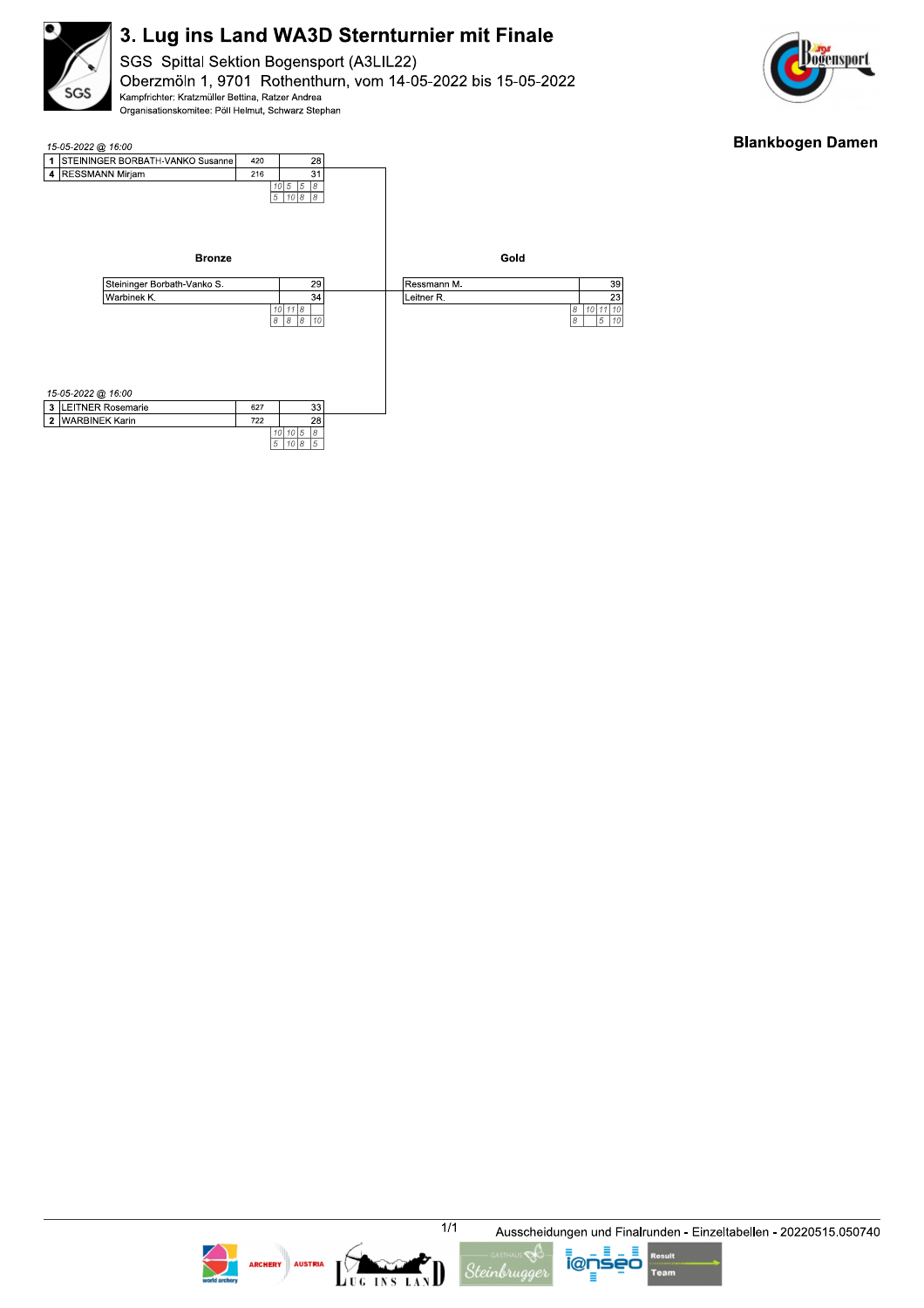

SGS Spittal Sektion Bogensport (A3LIL22) Oberzmöln 1, 9701 Rothenthurn, vom 14-05-2022 bis 15-05-2022 Kampfrichter: Kratzmüller Bettina, Ratzer Andrea Organisationskomitee: Pöll Helmut, Schwarz Stephan



### **Blankbogen Damen**











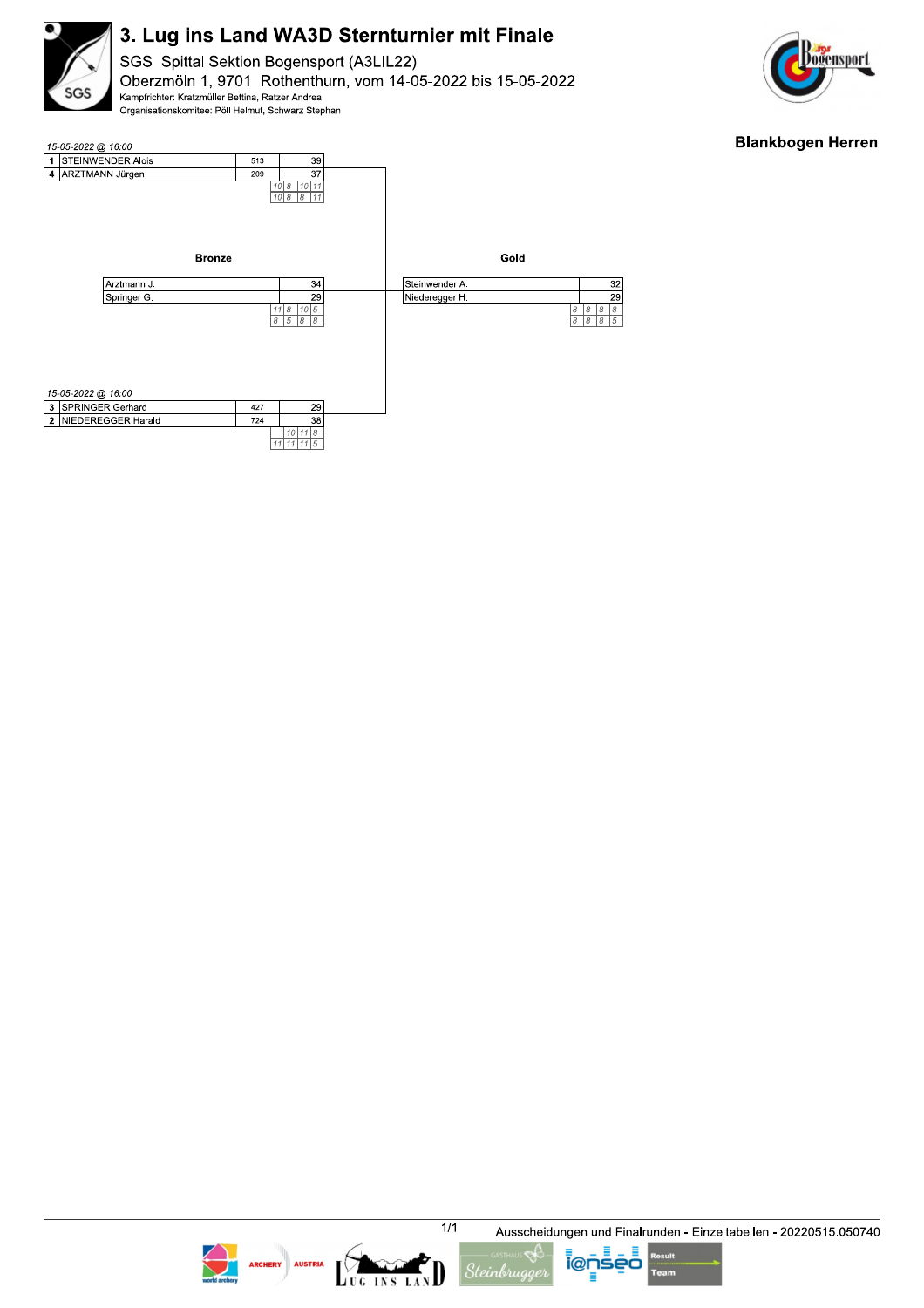

SGS Spittal Sektion Bogensport (A3LIL22) Oberzmöln 1, 9701 Rothenthurn, vom 14-05-2022 bis 15-05-2022 Kampfrichter: Kratzmüller Bettina, Ratzer Andrea Organisationskomitee: Pöll Helmut, Schwarz Stephan



### **Blankbogen Herren**